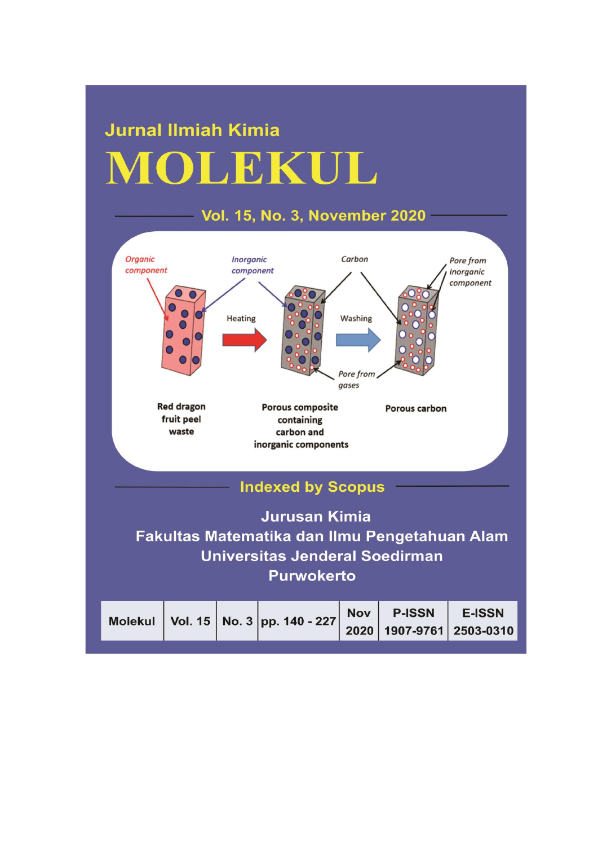# **Jurnal Ilmiah Kimia** MOLEKUL

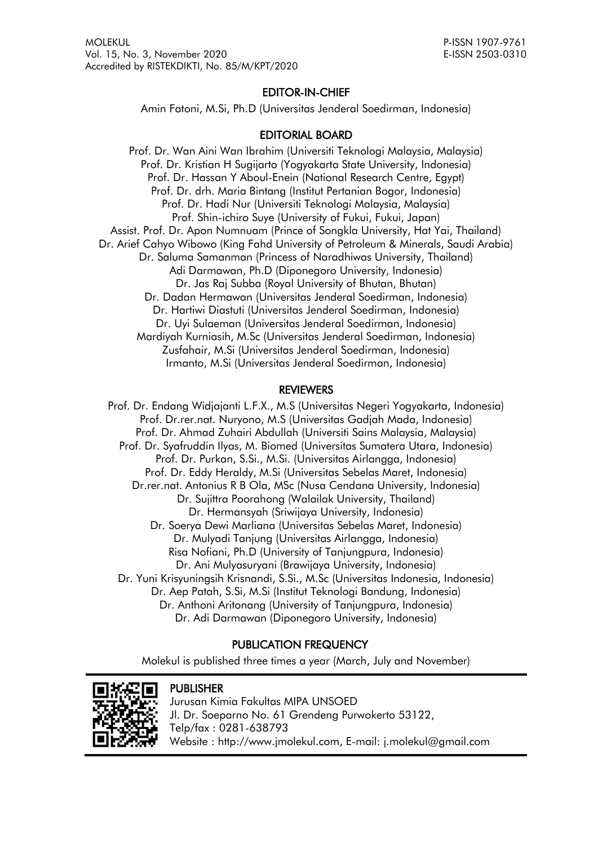# EDITOR-IN-CHIEF

Amin Fatoni, M.Si, Ph.D (Universitas Jenderal Soedirman, Indonesia)

# EDITORIAL BOARD

Prof. Dr. Wan Aini Wan Ibrahim (Universiti Teknologi Malaysia, Malaysia) Prof. Dr. Kristian H Sugijarto (Yogyakarta State University, Indonesia) Prof. Dr. Hassan Y Aboul-Enein (National Research Centre, Egypt) Prof. Dr. drh. Maria Bintang (Institut Pertanian Bogor, Indonesia) Prof. Dr. Hadi Nur (Universiti Teknologi Malaysia, Malaysia) Prof. Shin-ichiro Suye (University of Fukui, Fukui, Japan) Assist. Prof. Dr. Apon Numnuam (Prince of Songkla University, Hat Yai, Thailand) Dr. Arief Cahyo Wibowo (King Fahd University of Petroleum & Minerals, Saudi Arabia) Dr. Saluma Samanman (Princess of Naradhiwas University, Thailand) Adi Darmawan, Ph.D (Diponegoro University, Indonesia) Dr. Jas Raj Subba (Royal University of Bhutan, Bhutan) Dr. Dadan Hermawan (Universitas Jenderal Soedirman, Indonesia) Dr. Hartiwi Diastuti (Universitas Jenderal Soedirman, Indonesia) Dr. Uyi Sulaeman (Universitas Jenderal Soedirman, Indonesia) Mardiyah Kurniasih, M.Sc (Universitas Jenderal Soedirman, Indonesia) Zusfahair, M.Si (Universitas Jenderal Soedirman, Indonesia) Irmanto, M.Si (Universitas Jenderal Soedirman, Indonesia)

## REVIEWERS

Prof. Dr. Endang Widjajanti L.F.X., M.S (Universitas Negeri Yogyakarta, Indonesia) Prof. Dr.rer.nat. Nuryono, M.S (Universitas Gadjah Mada, Indonesia) Prof. Dr. Ahmad Zuhairi Abdullah (Universiti Sains Malaysia, Malaysia) Prof. Dr. Syafruddin Ilyas, M. Biomed (Universitas Sumatera Utara, Indonesia) Prof. Dr. Purkan, S.Si., M.Si. (Universitas Airlangga, Indonesia) Prof. Dr. Eddy Heraldy, M.Si (Universitas Sebelas Maret, Indonesia) Dr.rer.nat. Antonius R B Ola, MSc (Nusa Cendana University, Indonesia) Dr. Sujittra Poorahong (Walailak University, Thailand) Dr. Hermansyah (Sriwijaya University, Indonesia) Dr. Soerya Dewi Marliana (Universitas Sebelas Maret, Indonesia) Dr. Mulyadi Tanjung (Universitas Airlangga, Indonesia) Risa Nofiani, Ph.D (University of Tanjungpura, Indonesia) Dr. Ani Mulyasuryani (Brawijaya University, Indonesia) Dr. Yuni Krisyuningsih Krisnandi, S.Si., M.Sc (Universitas Indonesia, Indonesia) Dr. Aep Patah, S.Si, M.Si (Institut Teknologi Bandung, Indonesia) Dr. Anthoni Aritonang (University of Tanjungpura, Indonesia) Dr. Adi Darmawan (Diponegoro University, Indonesia)

# PUBLICATION FREQUENCY

Molekul is published three times a year (March, July and November)



## **PUBLISHER**

Jurusan Kimia Fakultas MIPA UNSOED Jl. Dr. Soeparno No. 61 Grendeng Purwokerto 53122, Telp/fax : 0281-638793 Website : [http://www.jmolekul.com,](http://www.jmolekul.com/) E-mail: j.molekul@gmail.com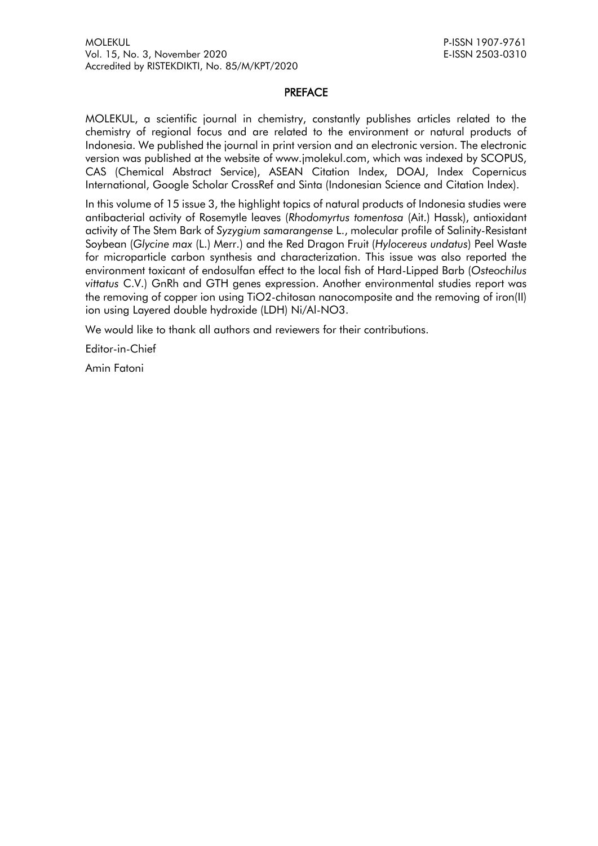#### PREFACE

MOLEKUL, a scientific journal in chemistry, constantly publishes articles related to the chemistry of regional focus and are related to the environment or natural products of Indonesia. We published the journal in print version and an electronic version. The electronic version was published at the website of www.jmolekul.com, which was indexed by SCOPUS, CAS (Chemical Abstract Service), ASEAN Citation Index, DOAJ, Index Copernicus International, Google Scholar CrossRef and Sinta (Indonesian Science and Citation Index).

In this volume of 15 issue 3, the highlight topics of natural products of Indonesia studies were antibacterial activity of Rosemytle leaves (*Rhodomyrtus tomentosa* (Ait.) Hassk), antioxidant activity of The Stem Bark of *Syzygium samarangense* L., molecular profile of Salinity-Resistant Soybean (*Glycine max* (L.) Merr.) and the Red Dragon Fruit (*Hylocereus undatus*) Peel Waste for microparticle carbon synthesis and characterization. This issue was also reported the environment toxicant of endosulfan effect to the local fish of Hard-Lipped Barb (*Osteochilus vittatus* C.V.) GnRh and GTH genes expression. Another environmental studies report was the removing of copper ion using TiO2-chitosan nanocomposite and the removing of iron(II) ion using Layered double hydroxide (LDH) Ni/Al-NO3.

We would like to thank all authors and reviewers for their contributions.

Editor-in-Chief

Amin Fatoni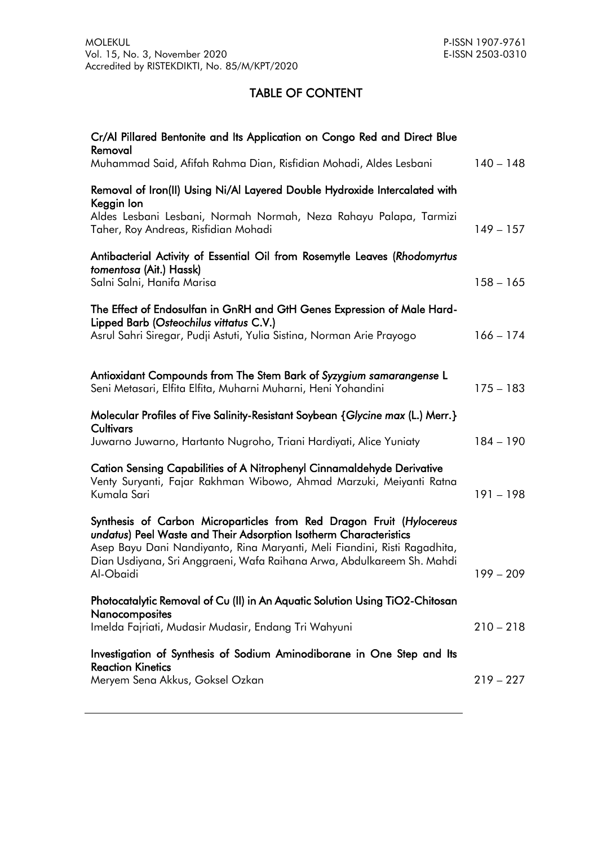# TABLE OF CONTENT

| Cr/Al Pillared Bentonite and Its Application on Congo Red and Direct Blue<br>Removal<br>Muhammad Said, Afifah Rahma Dian, Risfidian Mohadi, Aldes Lesbani                                                                                                                                                     | $140 - 148$ |
|---------------------------------------------------------------------------------------------------------------------------------------------------------------------------------------------------------------------------------------------------------------------------------------------------------------|-------------|
| Removal of Iron(II) Using Ni/Al Layered Double Hydroxide Intercalated with<br>Keggin lon                                                                                                                                                                                                                      |             |
| Aldes Lesbani Lesbani, Normah Normah, Neza Rahayu Palapa, Tarmizi<br>Taher, Roy Andreas, Risfidian Mohadi                                                                                                                                                                                                     | $149 - 157$ |
| Antibacterial Activity of Essential Oil from Rosemytle Leaves (Rhodomyrtus<br>tomentosa (Ait.) Hassk)<br>Salni Salni, Hanifa Marisa                                                                                                                                                                           | $158 - 165$ |
| The Effect of Endosulfan in GnRH and GtH Genes Expression of Male Hard-<br>Lipped Barb (Osteochilus vittatus C.V.)<br>Asrul Sahri Siregar, Pudji Astuti, Yulia Sistina, Norman Arie Prayogo                                                                                                                   | $166 - 174$ |
| Antioxidant Compounds from The Stem Bark of Syzygium samarangense L<br>Seni Metasari, Elfita Elfita, Muharni Muharni, Heni Yohandini                                                                                                                                                                          | $175 - 183$ |
| Molecular Profiles of Five Salinity-Resistant Soybean {Glycine max (L.) Merr.}<br>Cultivars<br>Juwarno Juwarno, Hartanto Nugroho, Triani Hardiyati, Alice Yuniaty                                                                                                                                             | $184 - 190$ |
| Cation Sensing Capabilities of A Nitrophenyl Cinnamaldehyde Derivative<br>Venty Suryanti, Fajar Rakhman Wibowo, Ahmad Marzuki, Meiyanti Ratna<br>Kumala Sari                                                                                                                                                  | $191 - 198$ |
| Synthesis of Carbon Microparticles from Red Dragon Fruit (Hylocereus<br>undatus) Peel Waste and Their Adsorption Isotherm Characteristics<br>Asep Bayu Dani Nandiyanto, Rina Maryanti, Meli Fiandini, Risti Ragadhita,<br>Dian Usdiyana, Sri Anggraeni, Wafa Raihana Arwa, Abdulkareem Sh. Mahdi<br>Al-Obaidi | $199 - 209$ |
| Photocatalytic Removal of Cu (II) in An Aquatic Solution Using TiO2-Chitosan<br>Nanocomposites                                                                                                                                                                                                                |             |
| Imelda Fajriati, Mudasir Mudasir, Endang Tri Wahyuni                                                                                                                                                                                                                                                          | $210 - 218$ |
| Investigation of Synthesis of Sodium Aminodiborane in One Step and Its<br><b>Reaction Kinetics</b>                                                                                                                                                                                                            |             |
| Meryem Sena Akkus, Goksel Ozkan                                                                                                                                                                                                                                                                               | $219 - 227$ |
|                                                                                                                                                                                                                                                                                                               |             |